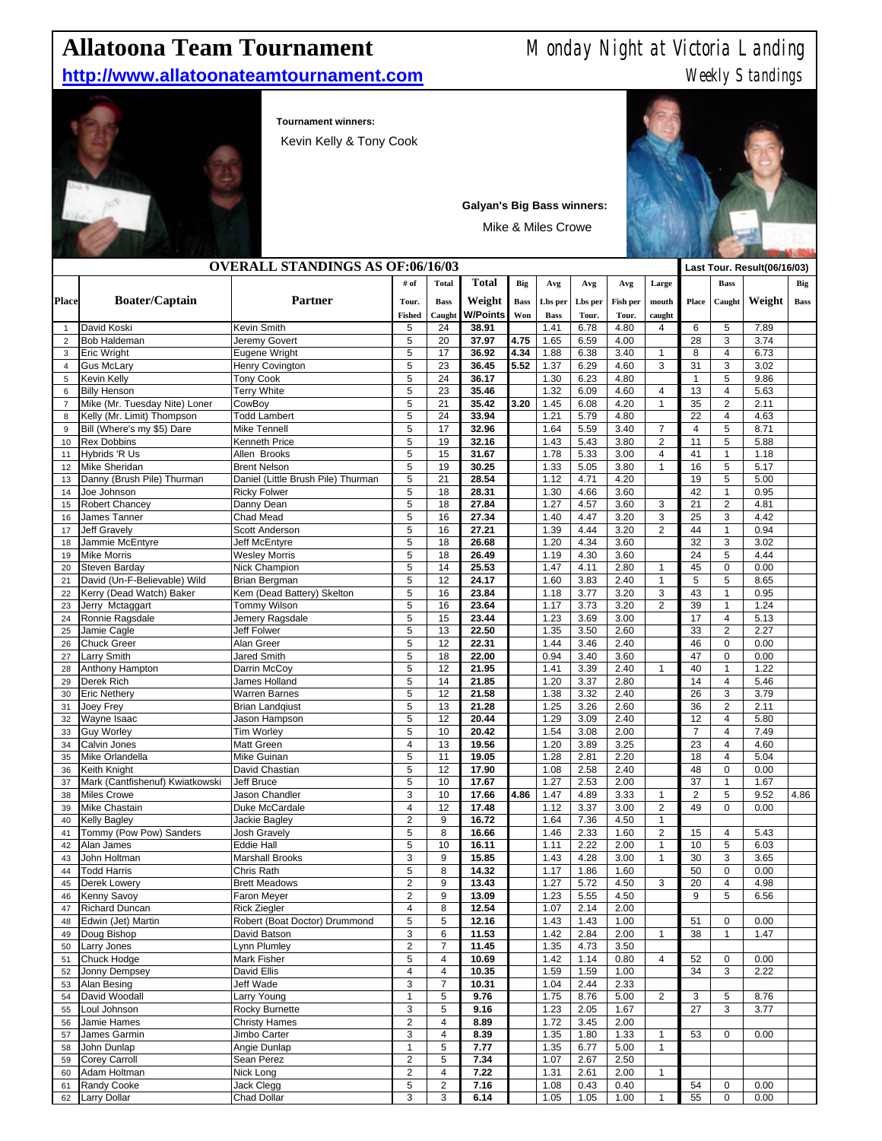## http://www.allatoonateamtournament.com

## **Allatoona Team Tournament** Monday Night at Victoria Landing<br> **http://www.allatoonateamtournament.com** Weekly Standings



## **Tournament winners:**

Kevin Kelly & Tony Cook



Mike & Miles Crowe

| <b>OVERALL STANDINGS AS OF:06/16/03</b> |                                     |                                    |                        |                                  |                           |                    |                        |                  |                   | Last Tour. Result(06/16/03) |                |                              |              |             |
|-----------------------------------------|-------------------------------------|------------------------------------|------------------------|----------------------------------|---------------------------|--------------------|------------------------|------------------|-------------------|-----------------------------|----------------|------------------------------|--------------|-------------|
|                                         |                                     |                                    | # of                   | <b>Total</b>                     | <b>Total</b>              | Big                | Avg                    | Avg              | Avg               | Large                       |                | <b>Bass</b>                  |              | Big         |
| <b>Place</b>                            | <b>Boater/Captain</b>               | <b>Partner</b>                     | Tour.<br><b>Fished</b> | <b>Bass</b><br>Caught            | Weight<br><b>W/Points</b> | <b>Bass</b><br>Won | Lbs per<br><b>Bass</b> | Lbs per<br>Tour. | Fish per<br>Tour. | mouth<br>caught             | Place          | Caught                       | Weight       | <b>Bass</b> |
| $\mathbf{1}$                            | David Koski                         | <b>Kevin Smith</b>                 | 5                      | 24                               | 38.91                     |                    | 1.41                   | 6.78             | 4.80              | 4                           | 6              | 5                            | 7.89         |             |
| $\overline{2}$                          | <b>Bob Haldeman</b>                 | Jeremy Govert                      | 5                      | 20                               | 37.97                     | 4.75               | 1.65                   | 6.59             | 4.00              |                             | 28             | 3                            | 3.74         |             |
| 3                                       | <b>Eric Wright</b>                  | Eugene Wright                      | 5                      | 17                               | 36.92                     | 4.34               | 1.88                   | 6.38             | 3.40              | $\mathbf{1}$                | 8              | 4                            | 6.73         |             |
| $\overline{\mathbf{4}}$                 | <b>Gus McLary</b>                   | <b>Henry Covington</b>             | $\,$ 5 $\,$            | 23                               | 36.45                     | 5.52               | 1.37                   | 6.29             | 4.60              | 3                           | 31             | 3                            | 3.02         |             |
| 5                                       | Kevin Kelly                         | <b>Tony Cook</b>                   | 5                      | 24                               | 36.17                     |                    | 1.30                   | 6.23             | 4.80              |                             | $\mathbf{1}$   | 5                            | 9.86         |             |
| 6                                       | <b>Billy Henson</b>                 | <b>Terry White</b>                 | 5                      | 23                               | 35.46                     |                    | 1.32                   | 6.09             | 4.60              | 4                           | 13             | 4                            | 5.63         |             |
| $\overline{7}$                          | Mike (Mr. Tuesday Nite) Loner       | CowBoy                             | 5                      | 21                               | 35.42                     | 3.20               | 1.45                   | 6.08             | 4.20              | $\mathbf{1}$                | 35             | $\overline{c}$               | 2.11         |             |
| 8                                       | Kelly (Mr. Limit) Thompson          | <b>Todd Lambert</b>                | 5                      | 24                               | 33.94                     |                    | 1.21                   | 5.79             | 4.80              |                             | 22             | 4                            | 4.63         |             |
| 9                                       | Bill (Where's my \$5) Dare          | <b>Mike Tennell</b>                | 5                      | 17                               | 32.96                     |                    | 1.64                   | 5.59             | 3.40              | $\overline{7}$              | 4              | $\overline{5}$               | 8.71         |             |
| 10                                      | <b>Rex Dobbins</b>                  | <b>Kenneth Price</b>               | 5                      | 19                               | 32.16                     |                    | 1.43                   | 5.43             | 3.80              | $\overline{2}$              | 11             | 5                            | 5.88         |             |
| 11                                      | Hybrids 'R Us                       | Allen Brooks                       | 5                      | 15                               | 31.67                     |                    | 1.78                   | 5.33             | 3.00              | 4                           | 41             | 1                            | 1.18         |             |
| 12                                      | <b>Mike Sheridan</b>                | <b>Brent Nelson</b>                | 5                      | 19                               | 30.25                     |                    | 1.33                   | 5.05             | 3.80              | 1                           | 16             | 5                            | 5.17         |             |
| 13                                      | Danny (Brush Pile) Thurman          | Daniel (Little Brush Pile) Thurman | 5                      | 21                               | 28.54                     |                    | 1.12                   | 4.71             | 4.20              |                             | 19             | 5                            | 5.00         |             |
| 14                                      | Joe Johnson                         | <b>Ricky Folwer</b>                | 5                      | 18                               | 28.31                     |                    | 1.30                   | 4.66             | 3.60              |                             | 42             | 1                            | 0.95         |             |
| 15                                      | <b>Robert Chancey</b>               | Danny Dean                         | 5                      | 18                               | 27.84                     |                    | 1.27                   | 4.57             | 3.60              | 3                           | 21             | $\overline{c}$               | 4.81         |             |
| 16                                      | James Tanner                        | Chad Mead                          | $\,$ 5 $\,$            | 16                               | 27.34                     |                    | 1.40                   | 4.47             | 3.20              | 3                           | 25             | 3                            | 4.42         |             |
| 17                                      | <b>Jeff Gravely</b>                 | Scott Anderson                     | 5                      | 16                               | 27.21                     |                    | 1.39                   | 4.44             | 3.20              | $\overline{c}$              | 44             | $\mathbf{1}$                 | 0.94         |             |
| 18                                      | Jammie McEntyre                     | Jeff McEntyre                      | 5                      | 18                               | 26.68                     |                    | 1.20                   | 4.34             | 3.60              |                             | 32             | 3                            | 3.02         |             |
| 19                                      | <b>Mike Morris</b>                  | <b>Wesley Morris</b>               | 5                      | 18                               | 26.49                     |                    | 1.19                   | 4.30             | 3.60              |                             | 24             | 5                            | 4.44         |             |
| 20                                      | Steven Barday                       | Nick Champion                      | 5                      | 14                               | 25.53                     |                    | 1.47                   | 4.11             | 2.80              | $\mathbf{1}$                | 45             | 0                            | 0.00         |             |
| 21                                      | David (Un-F-Believable) Wild        | <b>Brian Bergman</b>               | 5                      | 12                               | 24.17                     |                    | 1.60                   | 3.83             | 2.40              | $\mathbf{1}$                | 5              | 5                            | 8.65         |             |
| 22                                      | Kerry (Dead Watch) Baker            | Kem (Dead Battery) Skelton         | 5                      | 16                               | 23.84                     |                    | 1.18                   | 3.77             | 3.20              | 3                           | 43             | 1                            | 0.95         |             |
| 23                                      | Jerry Mctaggart                     | Tommy Wilson                       | 5                      | 16                               | 23.64                     |                    | 1.17                   | 3.73             | 3.20              | $\overline{c}$              | 39             | 1                            | 1.24         |             |
| 24<br>25                                | Ronnie Ragsdale<br>Jamie Cagle      | Jemery Ragsdale<br>Jeff Folwer     | 5<br>5                 | 15<br>13                         | 23.44<br>22.50            |                    | 1.23<br>1.35           | 3.69<br>3.50     | 3.00<br>2.60      |                             | 17<br>33       | 4<br>$\overline{\mathbf{c}}$ | 5.13<br>2.27 |             |
| 26                                      | <b>Chuck Greer</b>                  | Alan Greer                         | 5                      | 12                               | 22.31                     |                    | 1.44                   | 3.46             | 2.40              |                             | 46             | 0                            | 0.00         |             |
| 27                                      | Larry Smith                         | Jared Smith                        | 5                      | 18                               | 22.00                     |                    | 0.94                   | 3.40             | 3.60              |                             | 47             | 0                            | 0.00         |             |
| 28                                      | Anthony Hampton                     | Darrin McCoy                       | 5                      | 12                               | 21.95                     |                    | 1.41                   | 3.39             | 2.40              | $\mathbf{1}$                | 40             | 1                            | 1.22         |             |
| 29                                      | Derek Rich                          | James Holland                      | $\,$ 5 $\,$            | 14                               | 21.85                     |                    | 1.20                   | 3.37             | 2.80              |                             | 14             | 4                            | 5.46         |             |
| 30                                      | <b>Eric Nethery</b>                 | <b>Warren Barnes</b>               | 5                      | 12                               | 21.58                     |                    | 1.38                   | 3.32             | 2.40              |                             | 26             | 3                            | 3.79         |             |
| 31                                      | Joey Frey                           | <b>Brian Landqiust</b>             | 5                      | 13                               | 21.28                     |                    | 1.25                   | 3.26             | 2.60              |                             | 36             | $\overline{c}$               | 2.11         |             |
| 32                                      | Wayne Isaac                         | Jason Hampson                      | 5                      | 12                               | 20.44                     |                    | 1.29                   | 3.09             | 2.40              |                             | 12             | 4                            | 5.80         |             |
| 33                                      | <b>Guy Worley</b>                   | <b>Tim Worley</b>                  | 5                      | 10                               | 20.42                     |                    | 1.54                   | 3.08             | 2.00              |                             | $\overline{7}$ | 4                            | 7.49         |             |
| 34                                      | Calvin Jones                        | <b>Matt Green</b>                  | $\overline{4}$         | 13                               | 19.56                     |                    | 1.20                   | 3.89             | 3.25              |                             | 23             | 4                            | 4.60         |             |
| 35                                      | Mike Orlandella                     | Mike Guinan                        | $\,$ 5 $\,$            | 11                               | 19.05                     |                    | 1.28                   | 2.81             | 2.20              |                             | 18             | 4                            | 5.04         |             |
| 36                                      | <b>Keith Knight</b>                 | David Chastian                     | 5                      | 12                               | 17.90                     |                    | 1.08                   | 2.58             | 2.40              |                             | 48             | 0                            | 0.00         |             |
| 37                                      | Mark (Cantfishenuf) Kwiatkowski     | Jeff Bruce                         | 5                      | 10                               | 17.67                     |                    | 1.27                   | 2.53             | 2.00              |                             | 37             | 1                            | 1.67         |             |
| 38                                      | Miles Crowe                         | Jason Chandler                     | 3                      | 10                               | 17.66                     | 4.86               | 1.47                   | 4.89             | 3.33              | $\mathbf{1}$                | $\overline{2}$ | 5                            | 9.52         | 4.86        |
| 39                                      | <b>Mike Chastain</b>                | Duke McCardale                     | $\overline{4}$         | 12                               | 17.48                     |                    | 1.12                   | 3.37             | 3.00              | $\overline{2}$              | 49             | 0                            | 0.00         |             |
| 40                                      | <b>Kelly Bagley</b>                 | Jackie Bagley                      | $\overline{c}$         | 9                                | 16.72                     |                    | 1.64                   | 7.36             | 4.50              | $\mathbf{1}$                |                |                              |              |             |
| 41                                      | Tommy (Pow Pow) Sanders             | Josh Gravely                       | $\,$ 5 $\,$            | 8                                | 16.66                     |                    | 1.46                   | 2.33             | 1.60              | $\overline{c}$              | 15             | 4                            | 5.43         |             |
| 42                                      | Alan James                          | <b>Eddie Hall</b>                  | 5                      | 10                               | 16.11                     |                    | 1.11                   | 2.22             | 2.00              | $\mathbf{1}$                | 10             | 5                            | 6.03         |             |
| 43                                      | John Holtman                        | <b>Marshall Brooks</b>             | 3                      | $9\,$                            | 15.85                     |                    | 1.43                   | 4.28             | 3.00              | $\mathbf{1}$                | 30             | 3                            | 3.65         |             |
| 44                                      | <b>Todd Harris</b>                  | Chris Rath                         | 5                      | 8                                | 14.32                     |                    | 1.17                   | 1.86             | 1.60              |                             | 50             | 0                            | 0.00         |             |
| 45                                      | Derek Lowery                        | <b>Brett Meadows</b>               | $\overline{c}$         | $9\,$                            | 13.43                     |                    | 1.27                   | 5.72             | 4.50              | 3                           | 20             | 4                            | 4.98         |             |
| 46                                      | Kenny Savoy                         | Faron Meyer                        | $\overline{2}$         | 9                                | 13.09                     |                    | 1.23                   | 5.55             | 4.50              |                             | $9\,$          | 5                            | 6.56         |             |
| 47                                      | <b>Richard Duncan</b>               | <b>Rick Ziegler</b>                | 4                      | 8                                | 12.54                     |                    | 1.07                   | 2.14             | 2.00              |                             |                |                              |              |             |
| 48                                      | Edwin (Jet) Martin                  | Robert (Boat Doctor) Drummond      | 5                      | 5                                | 12.16                     |                    | 1.43                   | 1.43             | 1.00              |                             | 51             | $\mathsf 0$                  | 0.00         |             |
| 49                                      | Doug Bishop                         | David Batson                       | 3                      | 6                                | 11.53                     |                    | 1.42                   | 2.84             | 2.00              | $\mathbf{1}$                | 38             | $\mathbf{1}$                 | 1.47         |             |
| 50                                      | Larry Jones                         | Lynn Plumley                       | $\overline{c}$         | $\overline{7}$                   | 11.45                     |                    | 1.35                   | 4.73             | 3.50              |                             |                |                              |              |             |
| 51                                      | <b>Chuck Hodge</b><br>Jonny Dempsey | Mark Fisher<br><b>David Ellis</b>  | 5                      | 4                                | 10.69                     |                    | 1.42                   | 1.14             | 0.80              | 4                           | 52             | 0                            | 0.00         |             |
| 52<br>53                                | Alan Besing                         | Jeff Wade                          | $\sqrt{4}$<br>3        | $\overline{4}$<br>$\overline{7}$ | 10.35<br>10.31            |                    | 1.59<br>1.04           | 1.59<br>2.44     | 1.00<br>2.33      |                             | 34             | 3                            | 2.22         |             |
| 54                                      | David Woodall                       | Larry Young                        | $\mathbf{1}$           | 5                                | 9.76                      |                    | 1.75                   | 8.76             | 5.00              | $\overline{2}$              | 3              | 5                            | 8.76         |             |
| 55                                      | Loul Johnson                        | Rocky Burnette                     | 3                      | 5                                | 9.16                      |                    | 1.23                   | 2.05             | 1.67              |                             | 27             | 3                            | 3.77         |             |
| 56                                      | Jamie Hames                         | <b>Christy Hames</b>               | $\overline{c}$         | 4                                | 8.89                      |                    | 1.72                   | 3.45             | 2.00              |                             |                |                              |              |             |
| 57                                      | James Garmin                        | Jimbo Carter                       | 3                      | $\overline{4}$                   | 8.39                      |                    | 1.35                   | 1.80             | 1.33              | $\mathbf{1}$                | 53             | 0                            | 0.00         |             |
| 58                                      | John Dunlap                         | Angie Dunlap                       | $\mathbf{1}$           | 5                                | 7.77                      |                    | 1.35                   | 6.77             | 5.00              | $\mathbf{1}$                |                |                              |              |             |
| 59                                      | <b>Corey Carroll</b>                | Sean Perez                         | $\overline{2}$         | 5                                | 7.34                      |                    | 1.07                   | 2.67             | 2.50              |                             |                |                              |              |             |
| 60                                      | Adam Holtman                        | Nick Long                          | $\overline{c}$         | 4                                | 7.22                      |                    | 1.31                   | 2.61             | 2.00              | $\mathbf{1}$                |                |                              |              |             |
| 61                                      | Randy Cooke                         | Jack Clegg                         | $\mathbf 5$            | $\overline{c}$                   | 7.16                      |                    | 1.08                   | 0.43             | 0.40              |                             | 54             | 0                            | 0.00         |             |
| 62                                      | <b>Larry Dollar</b>                 | Chad Dollar                        | 3                      | 3                                | 6.14                      |                    | 1.05                   | 1.05             | 1.00              | $\overline{\mathbf{1}}$     | 55             | 0                            | 0.00         |             |